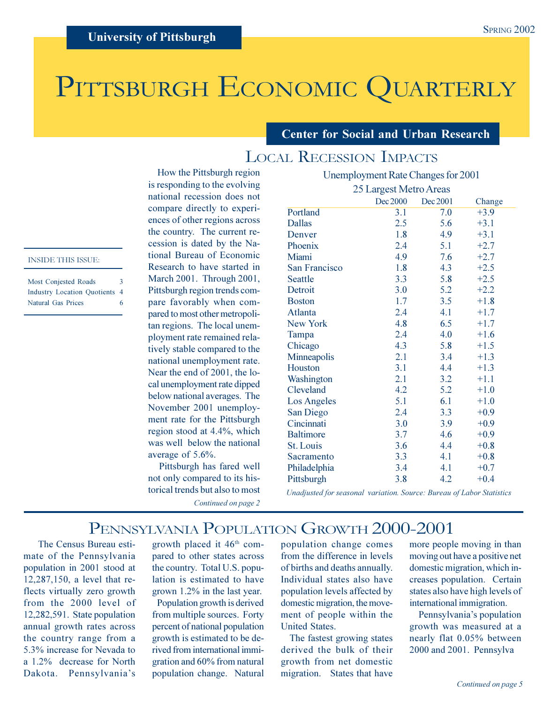# PITTSBURGH ECONOMIC QUARTERLY

### **Center for Social and Urban Research**

Unemployment Rate Changes for 2001

# **LOCAL RECESSION IMPACTS**

How the Pittsburgh region is responding to the evolving national recession does not compare directly to experiences of other regions across the country. The current recession is dated by the National Bureau of Economic Research to have started in March 2001. Through 2001, Pittsburgh region trends compare favorably when compared to most other metropolitan regions. The local unemployment rate remained relatively stable compared to the national unemployment rate. Near the end of 2001, the local unemployment rate dipped below national averages. The November 2001 unemployment rate for the Pittsburgh region stood at 4.4%, which was well below the national average of 5.6%.

Pittsburgh has fared well not only compared to its historical trends but also to most Continued on page 2

|                      | 25 Largest Metro Areas |          |        |  |  |
|----------------------|------------------------|----------|--------|--|--|
|                      | Dec 2000               | Dec 2001 | Change |  |  |
| Portland             | 3.1                    | 7.0      | $+3.9$ |  |  |
| <b>Dallas</b>        | 2.5                    | 5.6      | $+3.1$ |  |  |
| Denver               | 1.8                    | 4.9      | $+3.1$ |  |  |
| Phoenix              | 2.4                    | 5.1      | $+2.7$ |  |  |
| Miami                | 4.9                    | 7.6      | $+2.7$ |  |  |
| <b>San Francisco</b> | 1.8                    | 4.3      | $+2.5$ |  |  |
| <b>Seattle</b>       | 3.3                    | 5.8      | $+2.5$ |  |  |
| Detroit              | 3.0                    | 5.2      | $+2.2$ |  |  |
| <b>Boston</b>        | 1.7                    | 3.5      | $+1.8$ |  |  |
| <b>Atlanta</b>       | 2.4                    | 4.1      | $+1.7$ |  |  |
| New York             | 4.8                    | 6.5      | $+1.7$ |  |  |
| Tampa                | 2.4                    | 4.0      | $+1.6$ |  |  |
| Chicago              | 4.3                    | 5.8      | $+1.5$ |  |  |
| Minneapolis          | 2.1                    | 3.4      | $+1.3$ |  |  |
| Houston              | 3.1                    | 4.4      | $+1.3$ |  |  |
| Washington           | 2.1                    | 3.2      | $+1.1$ |  |  |
| Cleveland            | 4.2                    | 5.2      | $+1.0$ |  |  |
| <b>Los Angeles</b>   | 5.1                    | 6.1      | $+1.0$ |  |  |
| San Diego            | 2.4                    | 3.3      | $+0.9$ |  |  |
| Cincinnati           | 3.0                    | 3.9      | $+0.9$ |  |  |
| <b>Baltimore</b>     | 3.7                    | 4.6      | $+0.9$ |  |  |
| St. Louis            | 3.6                    | 4.4      | $+0.8$ |  |  |
| Sacramento           | 3.3                    | 4.1      | $+0.8$ |  |  |
| Philadelphia         | 3.4                    | 4.1      | $+0.7$ |  |  |
| Pittsburgh           | 3.8                    | 4.2      | $+0.4$ |  |  |

Unadjusted for seasonal variation. Source: Bureau of Labor Statistics

## PENNSYLVANIA POPULATION GROWTH 2000-2001

The Census Bureau estimate of the Pennsylvania population in 2001 stood at 12,287,150, a level that reflects virtually zero growth from the 2000 level of 12,282,591. State population annual growth rates across the country range from a 5.3% increase for Nevada to a 1.2% decrease for North Dakota. Pennsylvania's

growth placed it 46<sup>th</sup> compared to other states across the country. Total U.S. population is estimated to have grown 1.2% in the last year.

Population growth is derived from multiple sources. Forty percent of national population growth is estimated to be derived from international immigration and 60% from natural population change. Natural

population change comes from the difference in levels of births and deaths annually. Individual states also have population levels affected by domestic migration, the movement of people within the **United States.** 

The fastest growing states derived the bulk of their growth from net domestic migration. States that have

more people moving in than moving out have a positive net domestic migration, which increases population. Certain states also have high levels of international immigration.

Pennsylvania's population growth was measured at a nearly flat 0.05% between 2000 and 2001. Pennsylva

### **INSIDE THIS ISSUE:**

| Most Conjested Roads                 | $\mathbf{3}$ |
|--------------------------------------|--------------|
| <b>Industry Location Quotients 4</b> |              |
| Natural Gas Prices                   | 6            |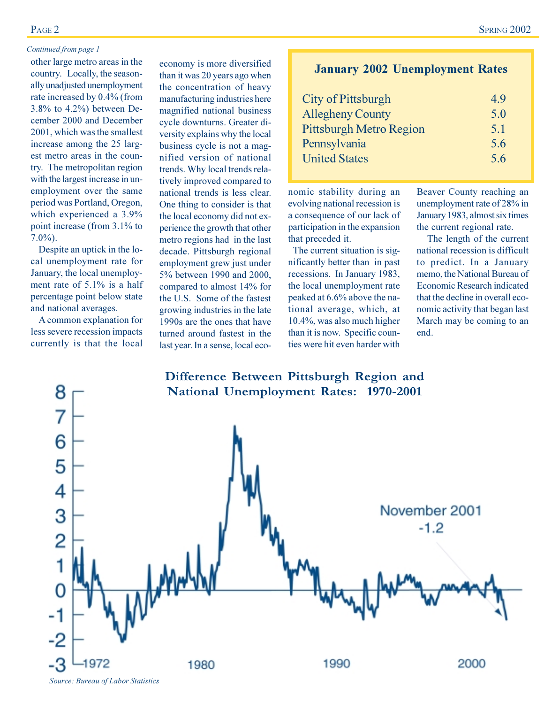### PAGE<sub>2</sub>

### Continued from page 1

other large metro areas in the country. Locally, the seasonally unadjusted unemployment rate increased by 0.4% (from 3.8% to  $4.2\%$ ) between December 2000 and December 2001, which was the smallest increase among the 25 largest metro areas in the country. The metropolitan region with the largest increase in unemployment over the same period was Portland, Oregon, which experienced a 3.9% point increase (from 3.1% to  $7.0\%$ ).

Despite an uptick in the local unemployment rate for January, the local unemployment rate of  $5.1\%$  is a half percentage point below state and national averages.

A common explanation for less severe recession impacts currently is that the local economy is more diversified than it was 20 years ago when the concentration of heavy manufacturing industries here magnified national business cycle downturns. Greater diversity explains why the local business cycle is not a magnified version of national trends. Why local trends relatively improved compared to national trends is less clear. One thing to consider is that the local economy did not experience the growth that other metro regions had in the last decade. Pittsburgh regional employment grew just under 5% between 1990 and 2000, compared to almost 14% for the U.S. Some of the fastest growing industries in the late 1990s are the ones that have turned around fastest in the last year. In a sense, local eco-

### **SPRING 2002**

### **January 2002 Unemployment Rates**

| City of Pittsburgh             | 49  |
|--------------------------------|-----|
| <b>Allegheny County</b>        | 5.0 |
| <b>Pittsburgh Metro Region</b> | 5.1 |
| Pennsylvania                   | 5.6 |
| <b>United States</b>           | 5.6 |

nomic stability during an evolving national recession is a consequence of our lack of participation in the expansion that preceded it.

The current situation is significantly better than in past recessions. In January 1983, the local unemployment rate peaked at 6.6% above the national average, which, at 10.4%, was also much higher than it is now. Specific counties were hit even harder with

Beaver County reaching an unemployment rate of 28% in January 1983, almost six times the current regional rate.

The length of the current national recession is difficult to predict. In a January memo, the National Bureau of **Economic Research indicated** that the decline in overall economic activity that began last March may be coming to an end.

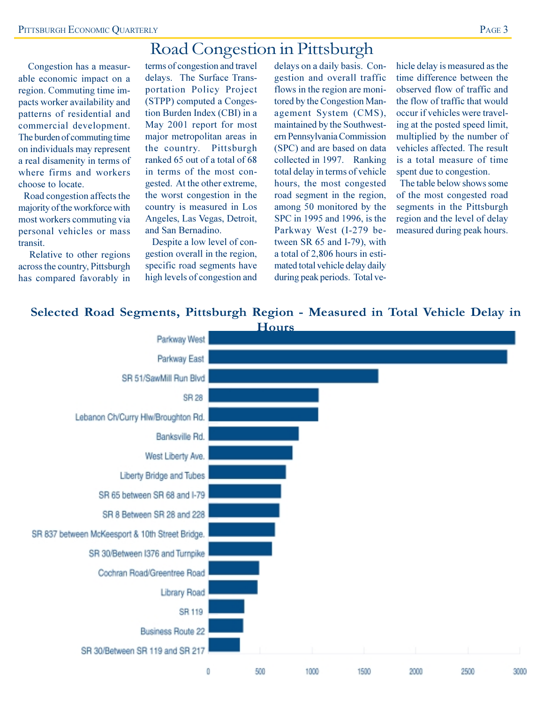# Road Congestion in Pittsburgh

Congestion has a measurable economic impact on a region. Commuting time impacts worker availability and patterns of residential and commercial development. The burden of commuting time on individuals may represent a real disamenity in terms of where firms and workers choose to locate.

Road congestion affects the majority of the workforce with most workers commuting via personal vehicles or mass transit.

Relative to other regions across the country, Pittsburgh has compared favorably in terms of congestion and travel delays. The Surface Transportation Policy Project (STPP) computed a Congestion Burden Index (CBI) in a May 2001 report for most major metropolitan areas in the country. Pittsburgh ranked 65 out of a total of 68 in terms of the most congested. At the other extreme, the worst congestion in the country is measured in Los Angeles, Las Vegas, Detroit, and San Bernadino.

Despite a low level of congestion overall in the region, specific road segments have high levels of congestion and

delays on a daily basis. Congestion and overall traffic flows in the region are monitored by the Congestion Management System (CMS), maintained by the Southwestern Pennsylvania Commission (SPC) and are based on data collected in 1997. Ranking total delay in terms of vehicle hours, the most congested road segment in the region, among 50 monitored by the SPC in 1995 and 1996, is the Parkway West (I-279 between SR 65 and I-79), with a total of 2,806 hours in estimated total vehicle delay daily during peak periods. Total ve-

hicle delay is measured as the time difference between the observed flow of traffic and the flow of traffic that would occur if vehicles were traveling at the posted speed limit. multiplied by the number of vehicles affected. The result is a total measure of time spent due to congestion.

The table below shows some of the most congested road segments in the Pittsburgh region and the level of delay measured during peak hours.

### Selected Road Segments, Pittsburgh Region - Measured in Total Vehicle Delay in

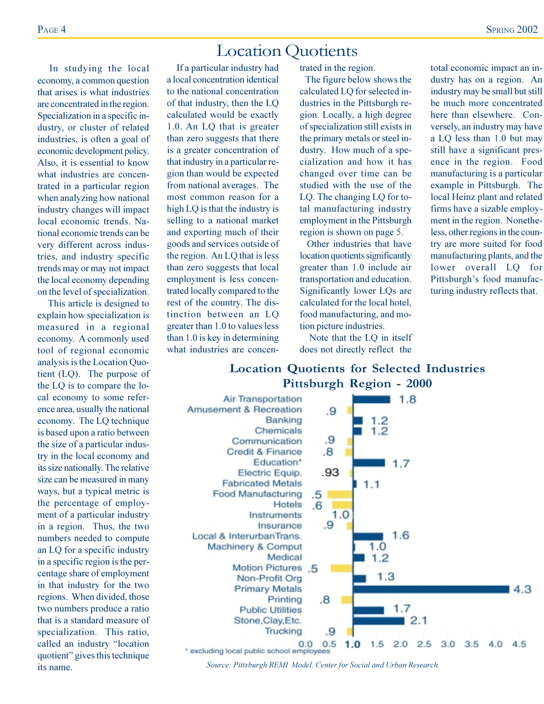# **Location Ouotients**

In studying the local economy, a common question that arises is what industries are concentrated in the region. Specialization in a specific industry, or cluster of related industries, is often a goal of economic development policy. Also, it is essential to know what industries are concentrated in a particular region when analyzing how national industry changes will impact local economic trends. National economic trends can be very different across industries, and industry specific trends may or may not impact the local economy depending on the level of specialization.

This article is designed to explain how specialization is measured in a regional economy. A commonly used tool of regional economic analysis is the Location Quotient (LQ). The purpose of the LQ is to compare the local economy to some reference area, usually the national economy. The LQ technique is based upon a ratio between the size of a particular industry in the local economy and its size nationally. The relative size can be measured in many ways, but a typical metric is the percentage of employment of a particular industry in a region. Thus, the two numbers needed to compute an LQ for a specific industry in a specific region is the percentage share of employment in that industry for the two regions. When divided, those two numbers produce a ratio that is a standard measure of specialization. This ratio. called an industry "location quotient" gives this technique its name.

If a particular industry had a local concentration identical to the national concentration of that industry, then the LQ calculated would be exactly 1.0. An LQ that is greater than zero suggests that there is a greater concentration of that industry in a particular region than would be expected from national averages. The most common reason for a high LQ is that the industry is selling to a national market and exporting much of their goods and services outside of the region. An LQ that is less than zero suggests that local employment is less concentrated locally compared to the rest of the country. The distinction between an LO greater than 1.0 to values less than 1.0 is key in determining what industries are concentrated in the region.

The figure below shows the calculated LQ for selected industries in the Pittsburgh region. Locally, a high degree of specialization still exists in the primary metals or steel industry. How much of a specialization and how it has changed over time can be studied with the use of the LQ. The changing LQ for total manufacturing industry employment in the Pittsburgh region is shown on page 5.

Other industries that have location quotients significantly greater than 1.0 include air transportation and education. Significantly lower LQs are calculated for the local hotel, food manufacturing, and motion picture industries.

Note that the LQ in itself does not directly reflect the

total economic impact an industry has on a region. An industry may be small but still be much more concentrated here than elsewhere. Conversely, an industry may have a LQ less than 1.0 but may still have a significant presence in the region. Food manufacturing is a particular example in Pittsburgh. The local Heinz plant and related firms have a sizable employment in the region. Nonetheless, other regions in the country are more suited for food manufacturing plants, and the lower overall LQ for Pittsburgh's food manufacturing industry reflects that.

### **Location Quotients for Selected Industries** Pittsburgh Region - 2000



Source: Pittsburgh REMI Model. Center for Social and Urban Research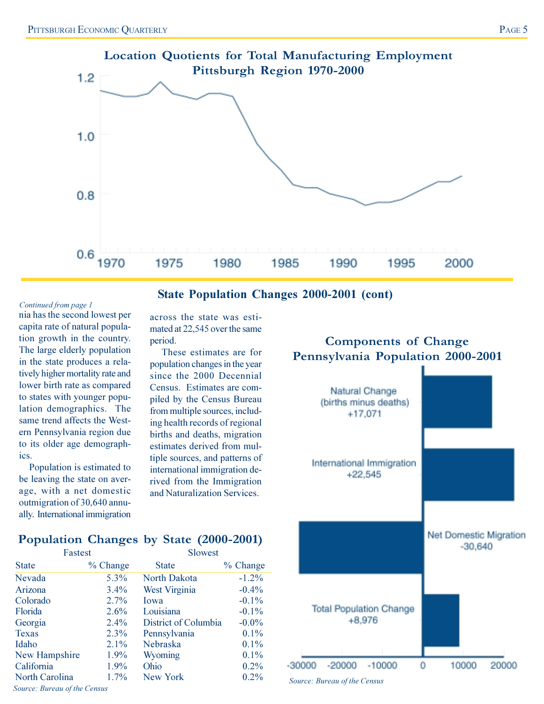

### **State Population Changes 2000-2001 (cont)**

### Continued from page 1

nia has the second lowest per capita rate of natural population growth in the country. The large elderly population in the state produces a relatively higher mortality rate and lower birth rate as compared to states with younger population demographics. The same trend affects the Western Pennsylvania region due to its older age demographics.

Population is estimated to be leaving the state on average, with a net domestic outmigration of 30,640 annually. International immigration

across the state was estimated at 22,545 over the same period.

These estimates are for population changes in the year since the 2000 Decennial Census. Estimates are compiled by the Census Bureau from multiple sources, including health records of regional births and deaths, migration estimates derived from multiple sources, and patterns of international immigration derived from the Immigration and Naturalization Services.

### **Components of Change** Pennsylvania Population 2000-2001



### Population Changes by State (2000-2001)

| Fastest              |          | Slowest              |          |  |
|----------------------|----------|----------------------|----------|--|
| <b>State</b>         | % Change | <b>State</b>         | % Change |  |
| Nevada               | 5.3%     | North Dakota         | $-1.2%$  |  |
| Arizona              | $3.4\%$  | West Virginia        | $-0.4\%$ |  |
| Colorado             | 2.7%     | Iowa                 | $-0.1%$  |  |
| Florida              | 2.6%     | Louisiana            | $-0.1\%$ |  |
| Georgia              | $2.4\%$  | District of Columbia | $-0.0\%$ |  |
| <b>Texas</b>         | 2.3%     | Pennsylvania         | 0.1%     |  |
| Idaho                | 2.1%     | Nebraska             | 0.1%     |  |
| <b>New Hampshire</b> | 1.9%     | Wyoming              | 0.1%     |  |
| California           | 1.9%     | Ohio                 | 0.2%     |  |
| North Carolina       | $1.7\%$  | New York             | 0.2%     |  |
|                      |          |                      |          |  |

Source: Bureau of the Census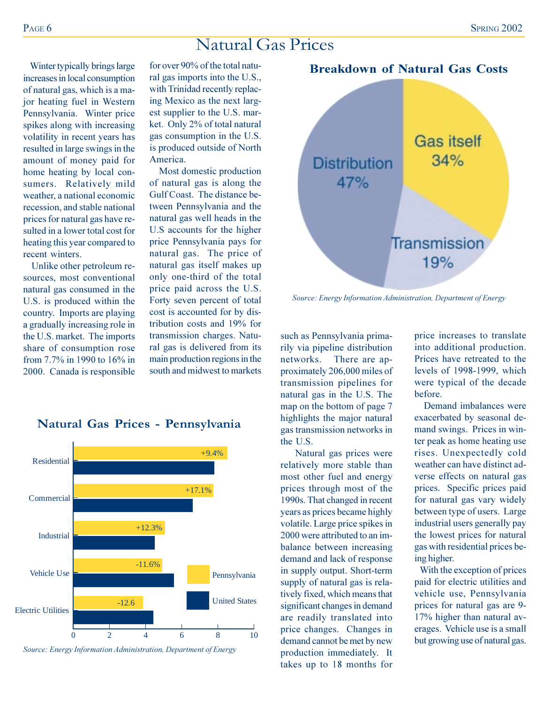**Breakdown of Natural Gas Costs** 

**Gas itself** 

# Natural Gas Prices

Winter typically brings large increases in local consumption of natural gas, which is a major heating fuel in Western Pennsylvania. Winter price spikes along with increasing volatility in recent years has resulted in large swings in the amount of money paid for home heating by local consumers. Relatively mild weather, a national economic recession, and stable national prices for natural gas have resulted in a lower total cost for heating this year compared to recent winters.

Unlike other petroleum resources, most conventional natural gas consumed in the U.S. is produced within the country. Imports are playing a gradually increasing role in the U.S. market. The imports share of consumption rose from 7 7% in 1990 to 16% in 2000. Canada is responsible

for over 90% of the total natural gas imports into the U.S., with Trinidad recently replacing Mexico as the next largest supplier to the U.S. market. Only 2% of total natural gas consumption in the U.S. is produced outside of North America.

Most domestic production of natural gas is along the Gulf Coast. The distance between Pennsylvania and the natural gas well heads in the U.S accounts for the higher price Pennsylvania pays for natural gas. The price of natural gas itself makes up only one-third of the total price paid across the U.S. Forty seven percent of total cost is accounted for by distribution costs and 19% for transmission charges. Natural gas is delivered from its main production regions in the south and midwest to markets



such as Pennsylvania primarily via pipeline distribution There are apnetworks. proximately 206,000 miles of transmission pipelines for natural gas in the U.S. The map on the bottom of page 7 highlights the major natural gas transmission networks in the U.S.

Natural gas prices were relatively more stable than most other fuel and energy prices through most of the 1990s. That changed in recent years as prices became highly volatile. Large price spikes in 2000 were attributed to an imbalance between increasing demand and lack of response in supply output. Short-term supply of natural gas is relatively fixed, which means that significant changes in demand are readily translated into price changes. Changes in demand cannot be met by new production immediately. It takes up to 18 months for

price increases to translate into additional production. Prices have retreated to the levels of 1998-1999, which were typical of the decade hefore.

Demand imbalances were exacerbated by seasonal demand swings. Prices in winter peak as home heating use rises. Unexpectedly cold weather can have distinct adverse effects on natural gas prices. Specific prices paid for natural gas vary widely between type of users. Large industrial users generally pay the lowest prices for natural gas with residential prices being higher.

With the exception of prices paid for electric utilities and vehicle use, Pennsylvania prices for natural gas are 9-17% higher than natural averages. Vehicle use is a small but growing use of natural gas.

### Natural Gas Prices - Pennsylvania



Source: Energy Information Administration, Department of Energy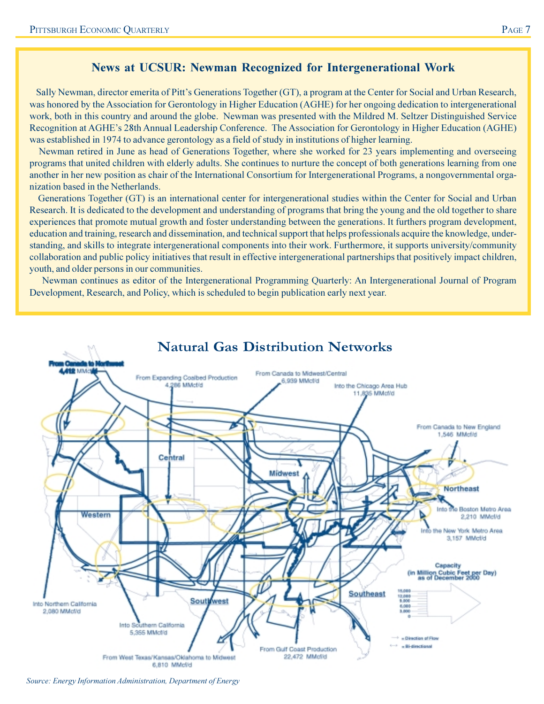### **News at UCSUR: Newman Recognized for Intergenerational Work**

Sally Newman, director emerita of Pitt's Generations Together (GT), a program at the Center for Social and Urban Research, was honored by the Association for Gerontology in Higher Education (AGHE) for her ongoing dedication to intergenerational work, both in this country and around the globe. Newman was presented with the Mildred M. Seltzer Distinguished Service Recognition at AGHE's 28th Annual Leadership Conference. The Association for Gerontology in Higher Education (AGHE) was established in 1974 to advance gerontology as a field of study in institutions of higher learning.

Newman retired in June as head of Generations Together, where she worked for 23 years implementing and overseeing programs that united children with elderly adults. She continues to nurture the concept of both generations learning from one another in her new position as chair of the International Consortium for Intergenerational Programs, a nongovernmental organization based in the Netherlands.

Generations Together (GT) is an international center for intergenerational studies within the Center for Social and Urban Research. It is dedicated to the development and understanding of programs that bring the young and the old together to share experiences that promote mutual growth and foster understanding between the generations. It furthers program development, education and training, research and dissemination, and technical support that helps professionals acquire the knowledge, understanding, and skills to integrate intergenerational components into their work. Furthermore, it supports university/community collaboration and public policy initiatives that result in effective intergenerational partnerships that positively impact children, youth, and older persons in our communities.

Newman continues as editor of the Intergenerational Programming Quarterly: An Intergenerational Journal of Program Development, Research, and Policy, which is scheduled to begin publication early next year.



Source: Energy Information Administration, Department of Energy